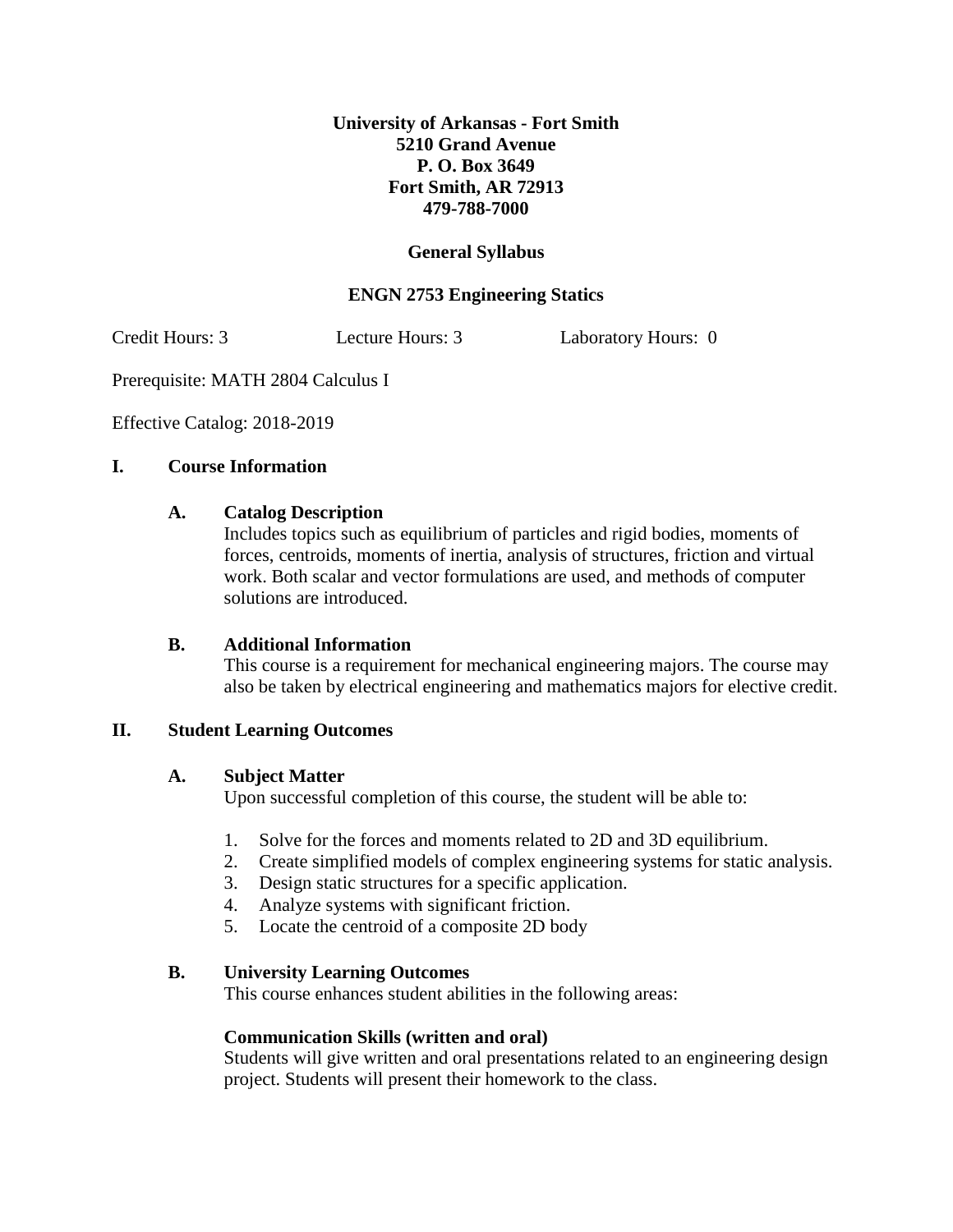## **University of Arkansas - Fort Smith 5210 Grand Avenue P. O. Box 3649 Fort Smith, AR 72913 479-788-7000**

## **General Syllabus**

## **ENGN 2753 Engineering Statics**

Credit Hours: 3 Lecture Hours: 3 Laboratory Hours: 0

Prerequisite: MATH 2804 Calculus I

Effective Catalog: 2018-2019

## **I. Course Information**

#### **A. Catalog Description**

Includes topics such as equilibrium of particles and rigid bodies, moments of forces, centroids, moments of inertia, analysis of structures, friction and virtual work. Both scalar and vector formulations are used, and methods of computer solutions are introduced.

## **B. Additional Information**

This course is a requirement for mechanical engineering majors. The course may also be taken by electrical engineering and mathematics majors for elective credit.

## **II. Student Learning Outcomes**

## **A. Subject Matter**

Upon successful completion of this course, the student will be able to:

- 1. Solve for the forces and moments related to 2D and 3D equilibrium.
- 2. Create simplified models of complex engineering systems for static analysis.
- 3. Design static structures for a specific application.
- 4. Analyze systems with significant friction.
- 5. Locate the centroid of a composite 2D body

## **B. University Learning Outcomes**

This course enhances student abilities in the following areas:

## **Communication Skills (written and oral)**

Students will give written and oral presentations related to an engineering design project. Students will present their homework to the class.